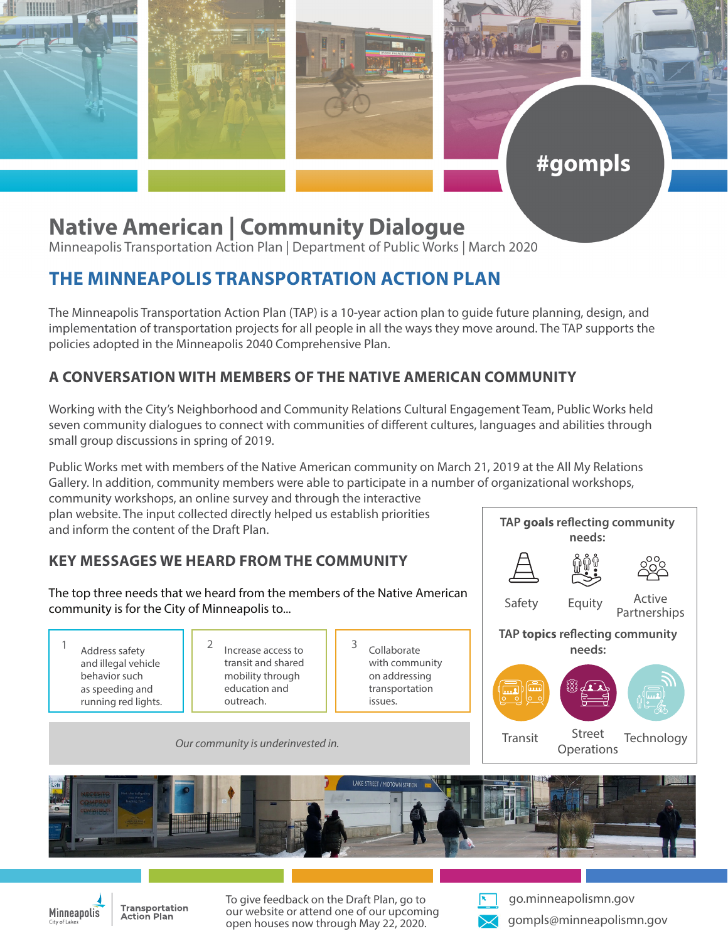

# **Native American | Community Dialogue**

Minneapolis Transportation Action Plan | Department of Public Works | March 2020

## **THE MINNEAPOLIS TRANSPORTATION ACTION PLAN**

The Minneapolis Transportation Action Plan (TAP) is a 10-year action plan to guide future planning, design, and implementation of transportation projects for all people in all the ways they move around. The TAP supports the policies adopted in the Minneapolis 2040 Comprehensive Plan.

#### **A CONVERSATION WITH MEMBERS OF THE NATIVE AMERICAN COMMUNITY**

Working with the City's Neighborhood and Community Relations Cultural Engagement Team, Public Works held seven community dialogues to connect with communities of different cultures, languages and abilities through small group discussions in spring of 2019.

Public Works met with members of the Native American community on March 21, 2019 at the All My Relations Gallery. In addition, community members were able to participate in a number of organizational workshops,

community workshops, an online survey and through the interactive plan website. The input collected directly helped us establish priorities and inform the content of the Draft Plan.

### **KEY MESSAGES WE HEARD FROM THE COMMUNITY**

The top three needs that we heard from the members of the Native American community is for the City of Minneapolis to...

- Address safety and illegal vehicle behavior such as speeding and running red lights.
- 1 Address safety  $\begin{vmatrix} 2 \end{vmatrix}$  Increase access to  $\begin{vmatrix} 3 \end{vmatrix}$ transit and shared mobility through education and outreach.
- Collaborate with community on addressing transportation issues.

Active **Partnerships needs: TAP topics reflecting community needs:** Safety Equity

**TAP goals reflecting community** 

#gompls

Street

Street Technology<br>Operations

*Our community is underinvested in.*





**Transportation Action Plan** 

To give feedback on the Draft Plan, go to our website or attend one of our upcoming open houses now through May 22, 2020.



go.minneapolismn.gov

Transit

gompls@minneapolismn.gov